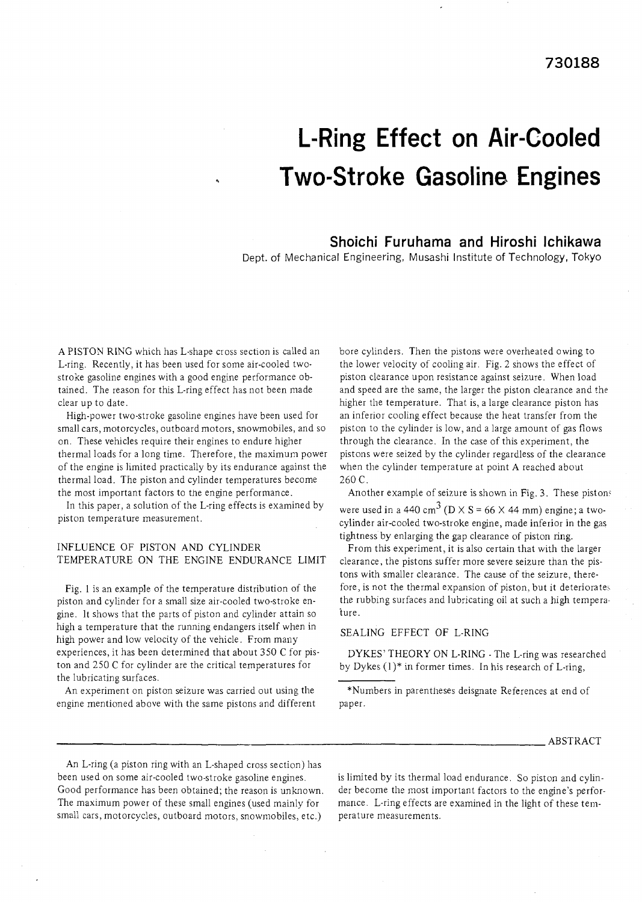# **L-Ring Effect on Air-Cooled Two-Stroke Gasoline Engines**

# **Shoichi Furuhama and Hiroshi lchikawa**

Dept. of Mechanical Engineering, Musashi Institute of Technology, Tokyo

A PISTON RING which has L-shape cross section is called an L-ring. Recently, it has been used for some air-cooled twostroke gasoline engines with a good engine performance obtained. The reason for this L-ring effect has not been made clear up to date.

High-power two-stroke gasoline engines have been used for small cars, motorcycles, outboard motors, snowmobiles, and so on. These vehicles require their engines to endure higher thermal loads for a long time. Therefore, the maximum power of the engine is limited practically by its endurance against the thermal load. The piston and cylinder temperatures become the most important factors to the engine performance.

In this paper, a solution of the L-ring effects is examined by piston temperature measurement.

### INFLUENCE OF PISTON AND CYLINDER TEMPERATURE ON THE ENGINE ENDURANCE LIMIT

Fig. 1 is an example of the temperature distribution of the piston and cylinder for a small size air-cooled two-stroke engine. It shows that the parts of piston and cylinder attain so high a temperature that the running endangers itself when in high power and low velocity of the vehicle. From many experiences, it has been determined that about 350 C for piston and 250 C for cylinder are the critical temperatures for the lubricating surfaces.

An experiment on piston seizure was carried out using the engine mentioned above with the same pistons and different bore cylinders. Then the pistons were overheated owing to the lower velocity of cooling air. Fig. 2 shows the effect of piston clearance upon resistance against seizure. When load and speed are the same, the larger the piston clearance and the higher the temperature. That is, a large clearance piston has an inferior cooling effect because the heat transfer from the piston to the cylinder is low, and a large amount of gas flows through the clearance. In the case of this experiment, the pistons were seized by the cylinder regardless of the clearance when the cylinder temperature at point A reached about 260 C.

Another example of seizure is shown in Fig. 3. These pistons were used in a 440 cm<sup>3</sup> (D  $\times$  S = 66  $\times$  44 mm) engine; a twocylinder air-cooled two-stroke engine, made inferior in the gas tightness by enlarging the gap clearance of piston ring.

From this experiment, it is also certain that with the larger clearance, the pistons suffer more severe seizure than the pistons with smaller clearance. The cause of the seizure, therefore, is not the thermal expansion of piston, but it deteriorates the rubbing surfaces and lubricating oil at such a high temperature.

#### SEALING EFFECT OF L-RING

DYKES' THEORY ON L-RING - The L-ring was researched by Dykes (I)\* in former times. In his research of L-ring,

\*Numbers in parentheses deisgnate References at end of paper.

#### ABSTRACT

An L-ring (a piston ring with an L-shaped cross section) has been used on some air-cooled two-stroke gasoline engines. is limited by its thermal load endurance. So piston and cylin-Good performance has been obtained; the reason is unknown. der become the most important factors to the engine's perfor-The maximum power of these small engines (used mainly for mance. L-ring effects are examined in the light of these temsmall cars, motorcycles, outboard motors, snowmobiles, etc.) perature measurements.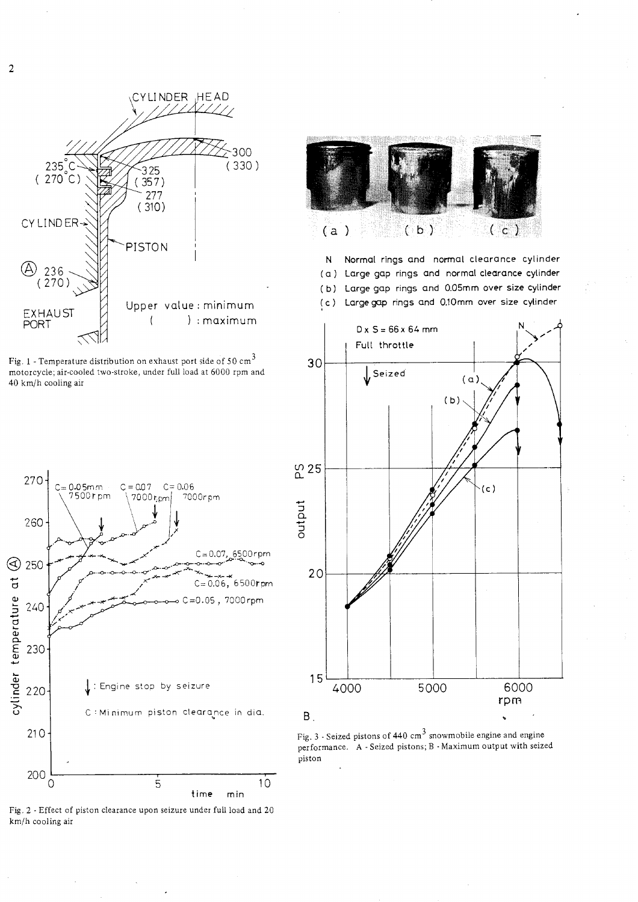



Fig. 1 -Temperature distribution on exhaust port side of 50 cm **<sup>3</sup>** motorcycle; air-cooled two-stroke, under full load at 6000 rpm and 40 km/h cooling air





N Normal rings and normal clearance cylinder ( a ) Large gap rings and normal clearance cylinder ( **b)** Large gap rings and 0.05mm over size cylinder ( c ) Large gap rings and 0.lOmm over size cylinder



Fig. 3 - Seized pistons of 440 cm<sup>3</sup> snowmobile engine and engine performance. A - Seized pistons; B -Maximum output with seized piston

Fig. 2 - Effect of piston clearance upon seizure under full load and 20 km/h cooling air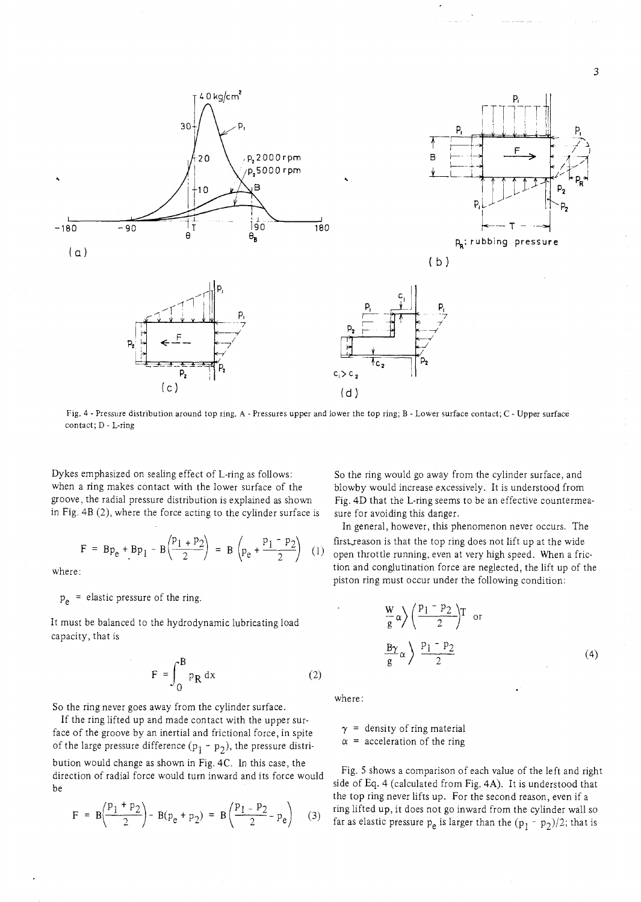

Fig. 4 - Pressure distribution around top ring. A - Pressures upper and lower the top ring; B - Lower surface contact; C - Upper surface contact; D - L-ring

Dykes emphasized on sealing effect of L-ring as follows: when a ring makes contact with the lower surface of the groove, the radial pressure distribution is explained as shown in Fig. 4B (2), where the force acting to the cylinder surface is

$$
F = Bp_e + Bp_1 - B\left(\frac{p_1 + p_2}{2}\right) = B\left(p_e + \frac{p_1 - p_2}{2}\right)
$$
 (1)

where:

 $p_e$  = elastic pressure of the ring.

It must be balanced to the hydrodynamic lubricating load capacity, that is

$$
F = \int_{0}^{B} p_R dx
$$
 (2)

So the ring never goes away from the cylinder surface.

If the ring lifted up and made contact with the upper surface of the groove by an inertial and frictional force, in spite of the large pressure difference  $(p_1 - p_2)$ , the pressure distribution would change as shown in Fig. 4C. In this case, the direction of radial force would turn inward and its force would be

$$
F = B\left(\frac{p_1 + p_2}{2}\right) - B(p_e + p_2) = B\left(\frac{p_1 - p_2}{2} - p_e\right) \tag{3}
$$

So the ring would go away from the cylinder surface, and blowby would increase excessively. It is understood from Fig. 4D that the L-ring seems to be an effective countermeasure for avoiding this danger.

In general, however, this phenomenon never occurs. The first reason is that the top ring does not lift up at the wide open throttle running, even at very high speed. When a friction and conglutination force are neglected, the lift up of the piston ring must occur under the following condition:

$$
\frac{W}{g} \alpha \left\langle \frac{p_1 - p_2}{2} \right\rangle T \text{ or}
$$
\n
$$
\frac{B\gamma}{g} \alpha \left\langle \frac{p_1 - p_2}{2} \right\rangle
$$
\n(4)

where :

 $\gamma$  = density of ring material

 $\alpha$  = acceleration of the ring

Fig. 5 shows a comparison of each value of the left and right side of Eq. 4 (calculated from Fig. 4A). It is understood that the top ring never lifts up. For the second reason, even if a ring lifted up, it does not go inward from the cylinder wall so far as elastic pressure  $p_e$  is larger than the  $(p_1 - p_2)/2$ ; that is

3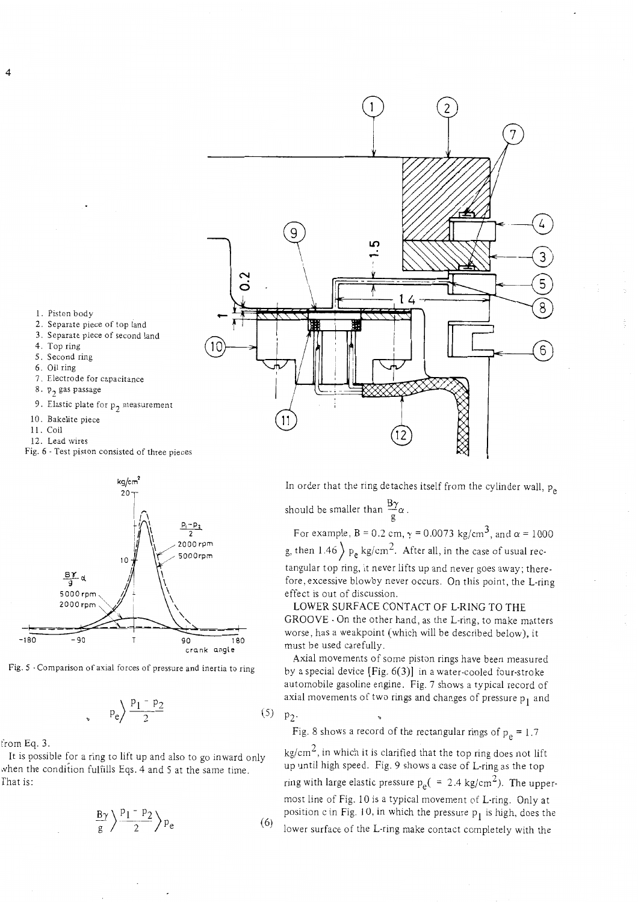

- 1. Piston body
- 2. Separate piece of top land
- 3. Separate piece of second land
- 4. Top ring
- 5. Second ring
- 6. Oil ring
- 7. Electrode for capacitance
- 8.  $p_2$  gas passage
- 9. Elastic plate for  $p_2$  measurement
- 10. Bakelite piece
- 11. Coil
- 12. Lead wires
- Fig. 6 -Test piston consisted of three pieces



Fig. *5* -Comparison of axial forces of pressure and inertia to ring

$$
p_e \bigg\rangle \frac{p_1 - p_2}{2} \tag{4.1}
$$

from Eq. 3.

It is possible for a ring to lift up and also to go inward only when the condition fulfills Eqs. 4 and 5 at the same time. rhat is:

$$
\frac{B\gamma}{g} \left\langle \frac{p_1 - p_2}{2} \right\rangle p_e \tag{6}
$$

In order that the ring detaches itself from the cylinder wall,  $p_{\alpha}$ should be smaller than  $\frac{B\gamma}{g}\alpha$ .

For example,  $B = 0.2$  cm,  $\gamma = 0.0073$  kg/cm<sup>3</sup>, and  $\alpha = 1000$ g, then  $1.46$   $p_e$  kg/cm<sup>2</sup>. After all, in the case of usual rec-

tangular top ring, it never lifts up and never goes away; therefore. excessive blowby never occurs. On this point, the L-ring effect is out of discussion.

LOWER SURFACE CONTACT OF L-RING TO THE GROOVE - On the other hand, as the L-ring, to make matters worse, has a weakpoint (which will be described below), it must be used carefully.

Axial movements of some piston rings have been measured by a special device [Fig. *6(3)]* in a water-cooled four-stroke automobile gasoline engine. Fig. 7 shows a typical record of axial movements of two rings and changes of pressure  $p_1$  and

 $(5)$   $p_2$ . Fig. 8 shows a record of the rectangular rings of  $p_e = 1.7$ 

 $kg/cm<sup>2</sup>$ , in which it is clarified that the top ring does not lift up until high speed. Fig. 9 shows a case of L-ring as the top ring with large elastic pressure  $p_e( = 2.4 \text{ kg/cm}^2)$ . The uppermost line of Fig. 10 is a typical movement of L-ring. Only at position c in Fig. 10, in which the pressure  $p_1$  is high, does the lower surface of the L-ring make contact completely with the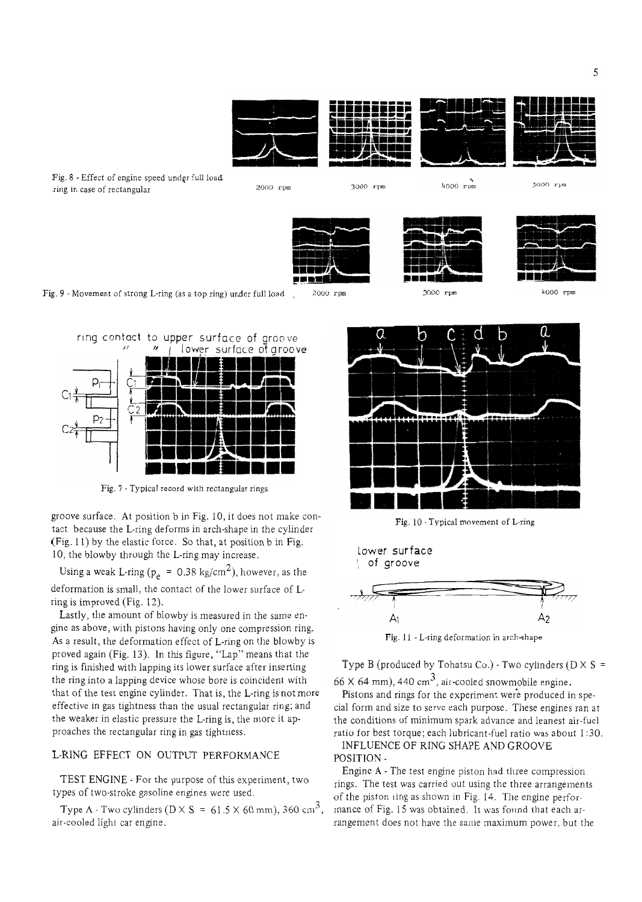

Fig. 8 - Effect of engine speed under full load ring in case of rectangular **1999** *PHONE PHONE PHONE PHONE PHONE PHONE PHONE PHONE PHONE PHONE PHONE PHONE PHONE PHONE PHONE PHONE PHONE PHONE PHONE* 

3000 rpm

 $\frac{1000 \text{ rpm}}{}$ 

5000 rpm





4000 rpm



groove surface. At position b in Fig. 10, it does not make contact because the L-ring deforms in arch-shape in the cylinder (Fig. 11) by the elastic force. So that, at position b in Fig. 10, the blowby through the L-ring may increase.

Using a weak L-ring ( $p_e = 0.38$  kg/cm<sup>2</sup>), however, as the deformation is small, the contact of the lower surface of Lring is improved (Fig. 12).

Lastly, the amount of blowby is measured in the same engine as above, with pistons having only one compression ring. As a result, the deformation effect of L-ring on the blowby is proved again (Fig. 13). In this figure, "Lap" means that the ring is finished with lapping its lower surface after inserting the ring into a lapping device whose bore is coincident with that of the test engine cylinder. That is, the L-ring is not more effective in gas tightness than the usual rectangular ring: and the weaker in elastic pressure the L-ring is, the more it approaches the rectangular ring in gas tightness.

## L-RING EFFECT ON OUTPUT PERFORMANCE

TEST ENGINE - For the purpose of this experiment, two types of two-stroke gasoline engines were used.

Type A - Two cylinders ( $D \times S = 61.5 \times 60$  mm), 360 cm<sup>3</sup>, air-cooled light car engine.







Fig. 11 - L-ring deformation in arch-shape

Type B (produced by Tohatsu Co.) - Two cylinders ( $D \times S =$ 66 X 64 mm), 440 cm<sup>3</sup>, air-cooled snowmobile engine.

Pistons and rings for the experiment were produced in special form and size to serve each purpose. These engines ran at the conditions of minimum spark advance and leanest air-fuel

ratio for best torque; each lubricant-fuel ratio was about 1 *:30.*  INFLUENCE OF RING SHAPE AND GROOVE POSITION -

Engine A - The test engine piston had three compression rings. The test was carried out using the three arrangements of the piston ring as shown in Fig. 14. The engine performance of Fig. 15 was obtained. It was found that each arrangement does not have the same maximum power. but the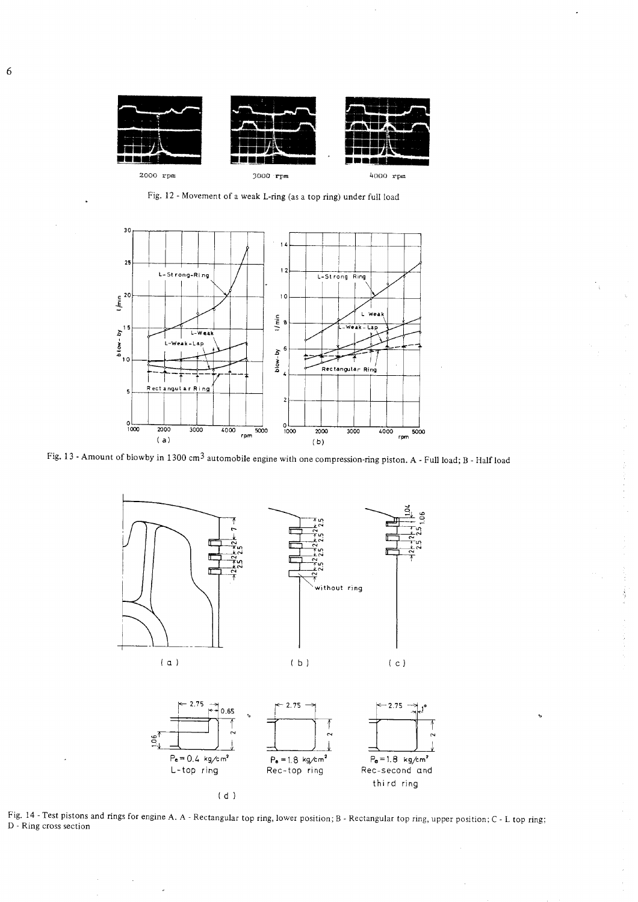

Fig. 12 - Movement of a weak L-ring (as a top ring) under full load



Fig. 13 - Amount of blowby in 1300 cm3 automobile engine with one compression-ring piston. A - Full load; B - Half load



i<br>S

Fig. 14 -Test pistons and rings for engine A. **A** - Rectangular top ring, lower position; B - Rectangular top ring, upper position; C - L top ring; D - Ring cross section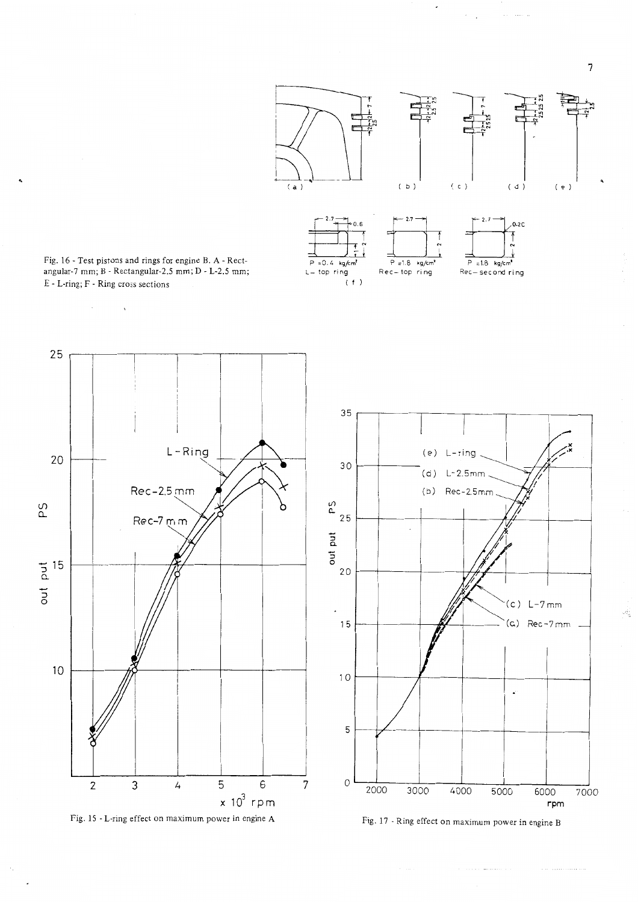

 $\frac{1}{2} \frac{d \tilde{\psi}}{d \tilde{\psi}}$ 



Fig. 16 - Test pistons and rings for engine B. **A** - Rectangular-7 mm; B - Rectangular-2.5 mm; D - L-2.5 mm; E - L-ring; F - Ring cross sections

 $\bar{\mathbf{v}}$ 

 $\mathcal{L}^{\pm}$ 



Fig. 15 - L-ring effect on maximum power in engine **A** 

 $\rightarrow$  .





and a company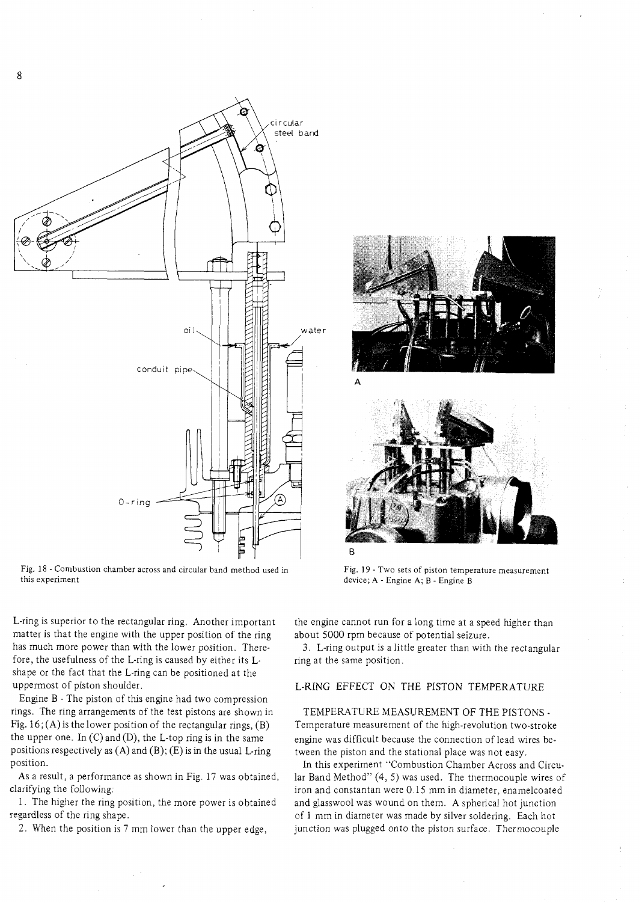

Fig. 18 - Combustion chamber across and circular band method used in this experiment

L-ring is superior to the rectangular ring. Another important matter is that the engine with the upper position of the ring has much more power than with the lower position. Therefore, the usefulness of the L-ring is caused by either its Lshape or the fact that the L-ring can be positioned at the uppermost of piston shoulder.

Engine B - The piston of this engine had two compression rings. The ring arrangements of the test pistons are shown in Fig.  $16$ ; (A) is the lower position of the rectangular rings, (B) the upper one. In  $(C)$  and  $(D)$ , the L-top ring is in the same positions respectively as  $(A)$  and  $(B)$ ;  $(E)$  is in the usual L-ring position.

As a result, a performance as shown in Fig. 17 was obtained, clarifying the following:

1. The higher the ring position, the more power is obtained regardless of the ring shape.

2. When the position is 7 mm lower than the upper edge,





Fig. 19 -Two sets of piston temperature measurement device; A - Engine A; B - Engine B

the engine cannot run for a long time at a speed higher than about 5000 rpm because of potential seizure.

3. L-ring output is a little greater than with the rectangular ring at the same position.

### L-RING EFFECT ON THE PISTON TEMPERATURE

## TEMPERATURE MEASUREMENT OF THE PISTONS - Temperature measurement of the high-revolution two-stroke engine was difficult because the connection of lead wires between the piston and the stational place was not easy.

In this experiment "Combustion Chamber Across and Circular Band Method"  $(4, 5)$  was used. The thermocouple wires of iron and constantan were 0.15 mm in diameter, enamelcoated and glasswool was wound on them. A spherical hot junction of 1 mm in diameter was made by silver soldering. Each hot junction was plugged onto the piston surface. Thermocouple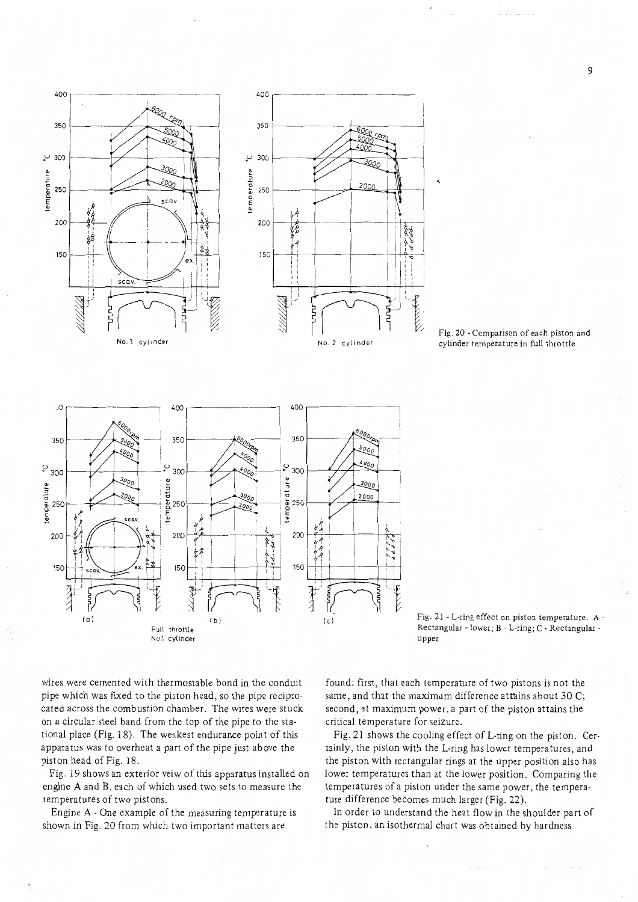





wires were cemented with thermostable bond in the conduit found: first, that each temperature of two pistons is not the pipe which was fixed to the piston head, so the pipe recipro-<br>same, and that the maximum difference attains about 30 C; cated across the combustion chamber. The wires were stuck second, at maximum power, a part of the piston attains the on a circular steel band from the top of the pipe to the sta- critical temperature for seizure. tional place (Fig. 18). The weakest endurance point of this Fig. 21 shows the cooling effect of L-ring on the piston. Cer-

engine A and B, each of which used two sets to measure the temperatures of a piston under the same power, the temperatemperatures of two pistons. ture difference becomes much larger (Fig. 22).

shown in Fig. 20 from which two important matters are the piston, an isothermal chart was obtained by hardness

apparatus was to overheat a part of the pipe just above the tainly, the piston with the L-ring has lower temperatures, and piston head of Fig. 18. the piston with rectangular rings at the upper position also has Fig. 19 shows an exterior veiw of this apparatus installed on lower temperatures than at the lower position. Comparing the

Engine A - One example of the measuring temperature is In order to understand the heat flow in the shoulder part of

9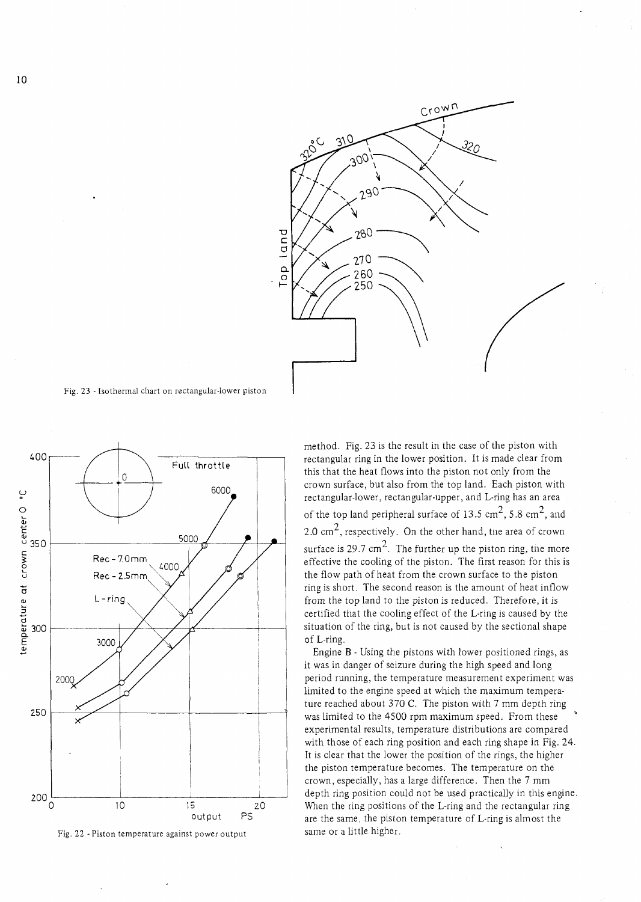

Fig. 23 - Isothermal chart on rectangular-lower piston



Fig. 22 - Piston temperature against power output

method. Fig. 23 is the result in the case of the piston with rectangular ring in the lower position. It is made clear from this that the heat flows into the piston not only from the crown surface, but also from the top land. Each piston with rectangular-lower, rectangular-upper, and L-ring has an area of the top land peripheral surface of 13.5  $\text{cm}^2$ , 5.8  $\text{cm}^2$ , and 2.0  $\text{cm}^2$ , respectively. On the other hand, the area of crown surface is 29.7 cm<sup>2</sup>. The further up the piston ring, the more effective the cooling of the piston. The first reason for this is the flow path of heat from the crown surface to the piston ring is short. The second reason is the amount of heat inflow from the top land to the piston is reduced. Therefore, it is certified that the cooling effect of the L-ring is caused by the situation of the ring, but is not caused by the sectional shape of L-ring.

Engine B - Using the pistons with lower positioned rings, as it was in danger of seizure during the high speed and long period running, the temperature measurement experiment was limited to the engine speed at which the maximum temperature reached about 370 C. The piston with 7 mm depth ring was limited to the 4500 rpm maximum speed. From these experimental results, temperature distributions are compared with those of each ring position and each ring shape in Fig. 24. It is clear that the lower the position of the rings, the higher the piston temperature becomes. The temperature on the crown, especially, has a large difference. Then the 7 mm depth ring position could not be used practically in this engine. When the ring positions of the L-ring and the rectangular ring are the same, the piston temperature of L-ring is almost the same or a little higher.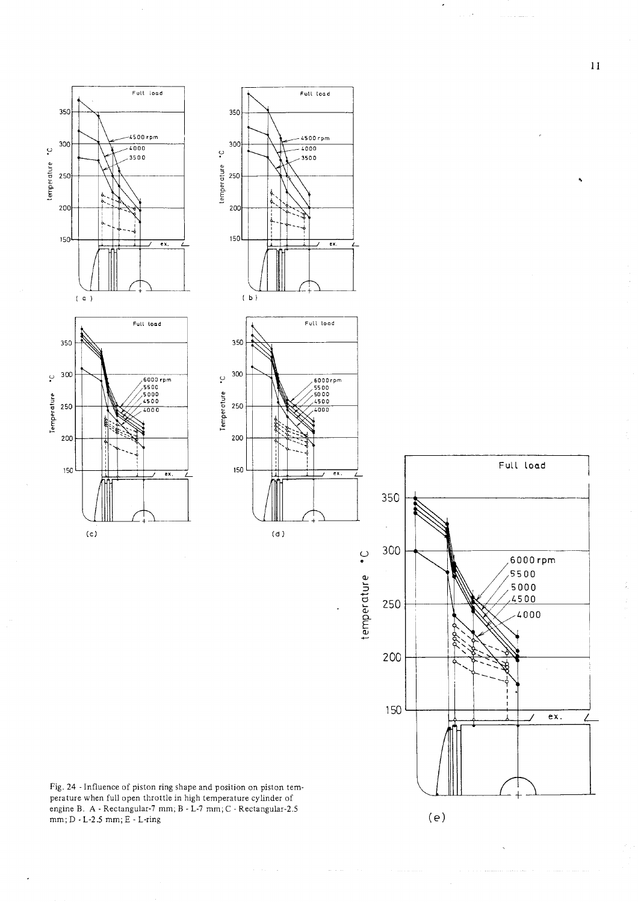









Fig. 24 - Influence of piston ring shape and position on piston temperature when full open throttle in high temperature cylinder of engine B. A - Rectangular-7 mm; <sup>B</sup>- L-7 mm; C - Rectangular-2.5  $\textnormal{mm};\textnormal{D}$  - L-2.5  $\textnormal{mm};\textnormal{E}$  - L-ring

 $11$